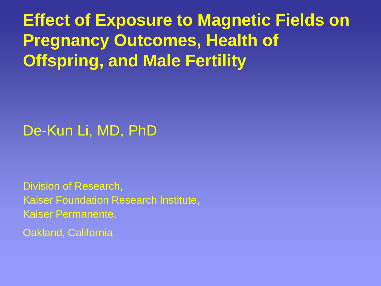**Effect of Exposure to Magnetic Fields on Pregnancy Outcomes, Health of Offspring, and Male Fertility**

#### De-Kun Li, MD, PhD

Division of Research, Kaiser Foundation Research Institute, Kaiser Permanente,

Oakland, California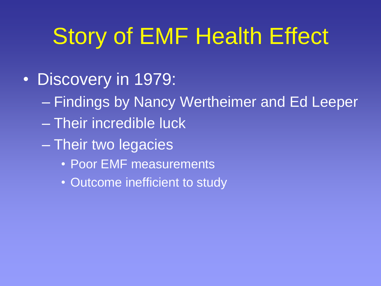# Story of EMF Health Effect

- Discovery in 1979:
	- Findings by Nancy Wertheimer and Ed Leeper
	- Their incredible luck
	- Their two legacies
		- Poor EMF measurements
		- Outcome inefficient to study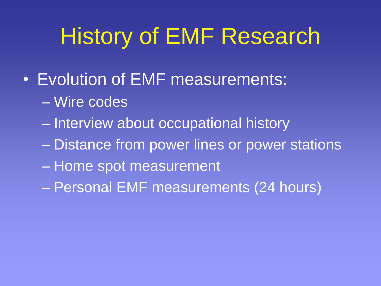## History of EMF Research

- Evolution of EMF measurements:
	- Wire codes
	- Interview about occupational history
	- Distance from power lines or power stations
	- Home spot measurement
	- Personal EMF measurements (24 hours)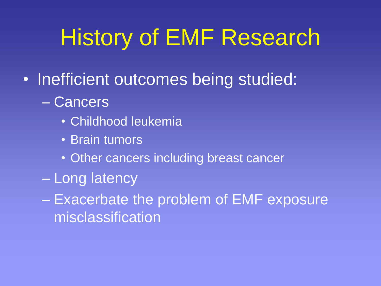## History of EMF Research

- Inefficient outcomes being studied:
	- Cancers
		- Childhood leukemia
		- Brain tumors
		- Other cancers including breast cancer
	- Long latency
	- Exacerbate the problem of EMF exposure misclassification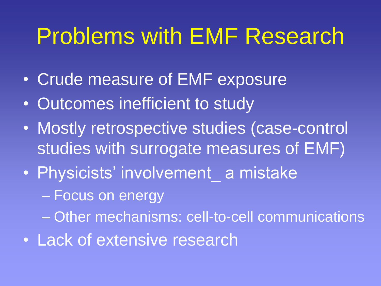## Problems with EMF Research

- Crude measure of EMF exposure
- Outcomes inefficient to study
- Mostly retrospective studies (case-control studies with surrogate measures of EMF)
- Physicists' involvement a mistake
	- Focus on energy
	- Other mechanisms: cell-to-cell communications
- Lack of extensive research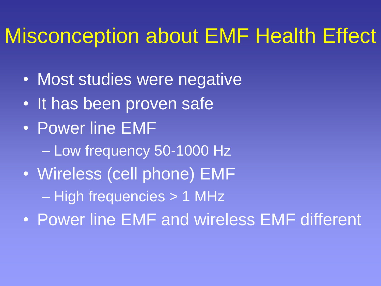#### Misconception about EMF Health Effect

- Most studies were negative
- It has been proven safe
- Power line EMF – Low frequency 50-1000 Hz
- Wireless (cell phone) EMF – High frequencies > 1 MHz
- Power line EMF and wireless EMF different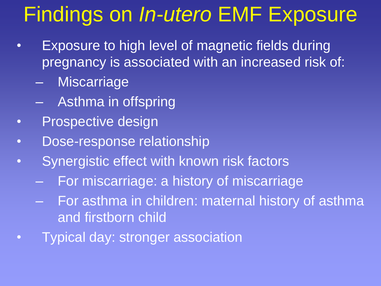#### Findings on *In-utero* EMF Exposure

- Exposure to high level of magnetic fields during pregnancy is associated with an increased risk of:
	- Miscarriage
	- Asthma in offspring
- Prospective design
- Dose-response relationship
- Synergistic effect with known risk factors
	- For miscarriage: a history of miscarriage
	- For asthma in children: maternal history of asthma and firstborn child
- **Typical day: stronger association**